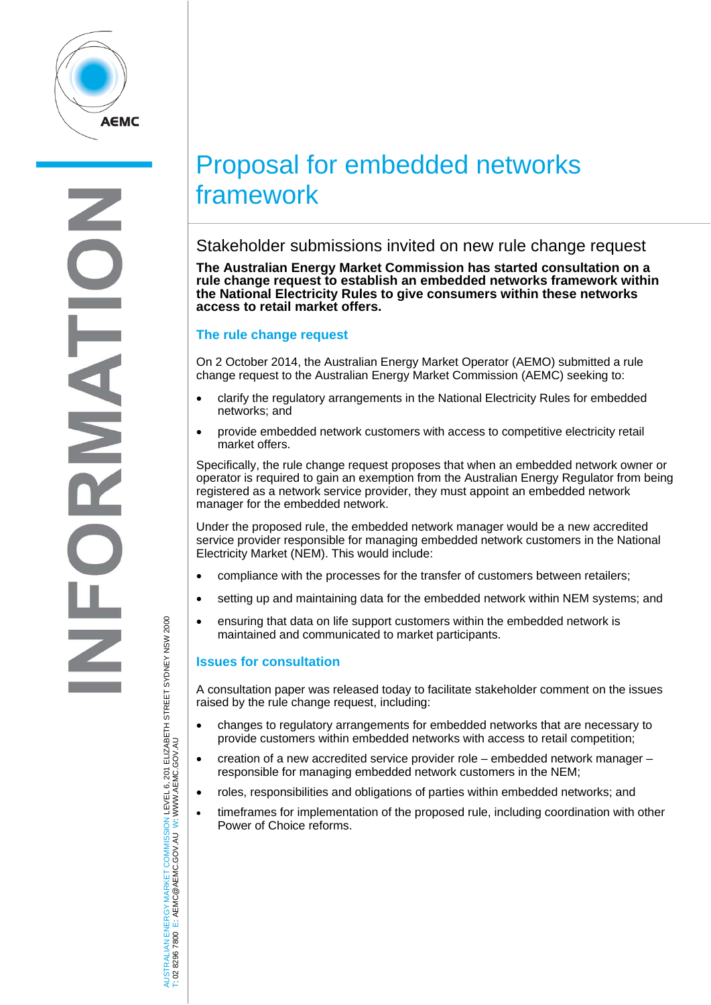

# Proposal for embedded networks framework

Stakeholder submissions invited on new rule change request

**The Australian Energy Market Commission has started consultation on a rule change request to establish an embedded networks framework within the National Electricity Rules to give consumers within these networks access to retail market offers.** 

## **The rule change request**

On 2 October 2014, the Australian Energy Market Operator (AEMO) submitted a rule change request to the Australian Energy Market Commission (AEMC) seeking to:

- clarify the regulatory arrangements in the National Electricity Rules for embedded networks; and
- provide embedded network customers with access to competitive electricity retail market offers.

Specifically, the rule change request proposes that when an embedded network owner or operator is required to gain an exemption from the Australian Energy Regulator from being registered as a network service provider, they must appoint an embedded network manager for the embedded network.

Under the proposed rule, the embedded network manager would be a new accredited service provider responsible for managing embedded network customers in the National Electricity Market (NEM). This would include:

- compliance with the processes for the transfer of customers between retailers;
- setting up and maintaining data for the embedded network within NEM systems; and
- ensuring that data on life support customers within the embedded network is maintained and communicated to market participants.

# **Issues for consultation**

A consultation paper was released today to facilitate stakeholder comment on the issues raised by the rule change request, including:

- changes to regulatory arrangements for embedded networks that are necessary to provide customers within embedded networks with access to retail competition;
- creation of a new accredited service provider role embedded network manager responsible for managing embedded network customers in the NEM;
- roles, responsibilities and obligations of parties within embedded networks; and
- timeframes for implementation of the proposed rule, including coordination with other Power of Choice reforms.